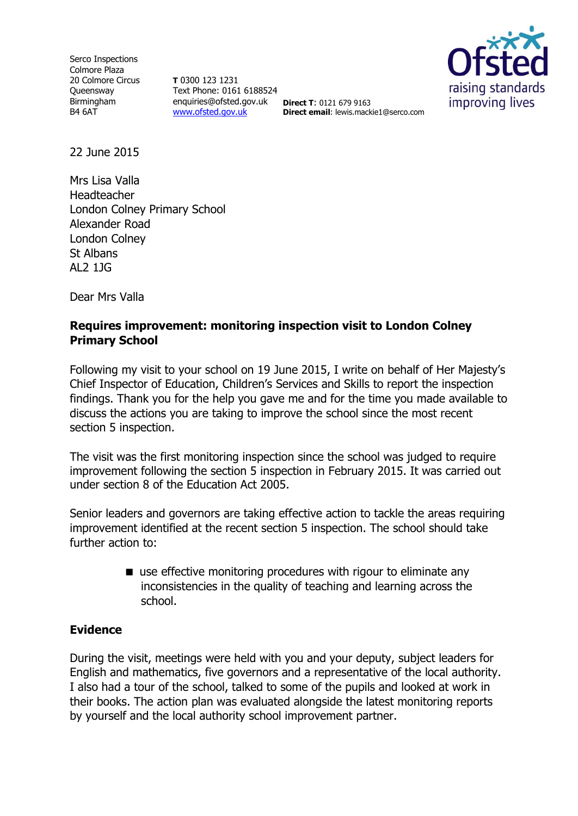Serco Inspections Colmore Plaza 20 Colmore Circus **Queensway** Birmingham B4 6AT

**T** 0300 123 1231 Text Phone: 0161 6188524 enquiries@ofsted.gov.uk **Direct T**: 0121 679 9163 [www.ofsted.gov.uk](http://www.ofsted.gov.uk/)



**Direct email**: lewis.mackie1@serco.com

22 June 2015

Mrs Lisa Valla Headteacher London Colney Primary School Alexander Road London Colney St Albans AL2 1JG

Dear Mrs Valla

# **Requires improvement: monitoring inspection visit to London Colney Primary School**

Following my visit to your school on 19 June 2015, I write on behalf of Her Majesty's Chief Inspector of Education, Children's Services and Skills to report the inspection findings. Thank you for the help you gave me and for the time you made available to discuss the actions you are taking to improve the school since the most recent section 5 inspection.

The visit was the first monitoring inspection since the school was judged to require improvement following the section 5 inspection in February 2015. It was carried out under section 8 of the Education Act 2005.

Senior leaders and governors are taking effective action to tackle the areas requiring improvement identified at the recent section 5 inspection. The school should take further action to:

> ■ use effective monitoring procedures with rigour to eliminate any inconsistencies in the quality of teaching and learning across the school.

## **Evidence**

During the visit, meetings were held with you and your deputy, subject leaders for English and mathematics, five governors and a representative of the local authority. I also had a tour of the school, talked to some of the pupils and looked at work in their books. The action plan was evaluated alongside the latest monitoring reports by yourself and the local authority school improvement partner.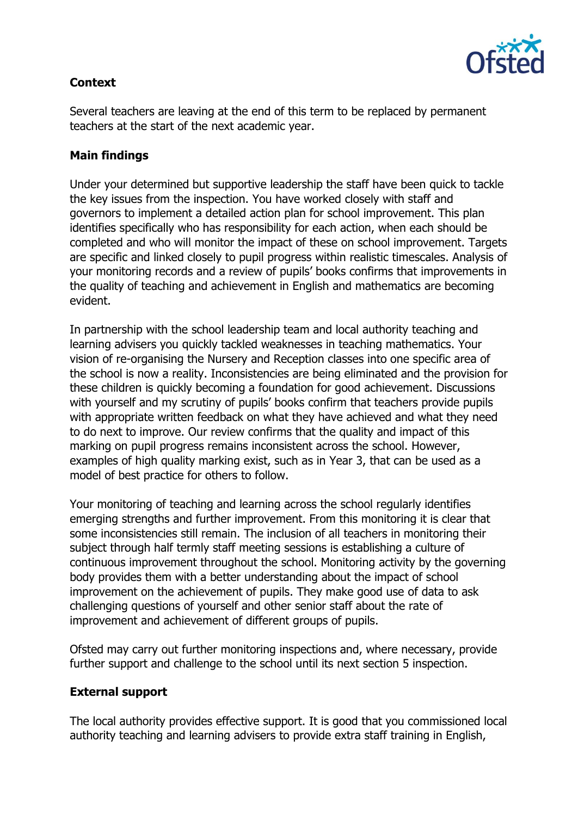

# **Context**

Several teachers are leaving at the end of this term to be replaced by permanent teachers at the start of the next academic year.

# **Main findings**

Under your determined but supportive leadership the staff have been quick to tackle the key issues from the inspection. You have worked closely with staff and governors to implement a detailed action plan for school improvement. This plan identifies specifically who has responsibility for each action, when each should be completed and who will monitor the impact of these on school improvement. Targets are specific and linked closely to pupil progress within realistic timescales. Analysis of your monitoring records and a review of pupils' books confirms that improvements in the quality of teaching and achievement in English and mathematics are becoming evident.

In partnership with the school leadership team and local authority teaching and learning advisers you quickly tackled weaknesses in teaching mathematics. Your vision of re-organising the Nursery and Reception classes into one specific area of the school is now a reality. Inconsistencies are being eliminated and the provision for these children is quickly becoming a foundation for good achievement. Discussions with yourself and my scrutiny of pupils' books confirm that teachers provide pupils with appropriate written feedback on what they have achieved and what they need to do next to improve. Our review confirms that the quality and impact of this marking on pupil progress remains inconsistent across the school. However, examples of high quality marking exist, such as in Year 3, that can be used as a model of best practice for others to follow.

Your monitoring of teaching and learning across the school regularly identifies emerging strengths and further improvement. From this monitoring it is clear that some inconsistencies still remain. The inclusion of all teachers in monitoring their subject through half termly staff meeting sessions is establishing a culture of continuous improvement throughout the school. Monitoring activity by the governing body provides them with a better understanding about the impact of school improvement on the achievement of pupils. They make good use of data to ask challenging questions of yourself and other senior staff about the rate of improvement and achievement of different groups of pupils.

Ofsted may carry out further monitoring inspections and, where necessary, provide further support and challenge to the school until its next section 5 inspection.

## **External support**

The local authority provides effective support. It is good that you commissioned local authority teaching and learning advisers to provide extra staff training in English,